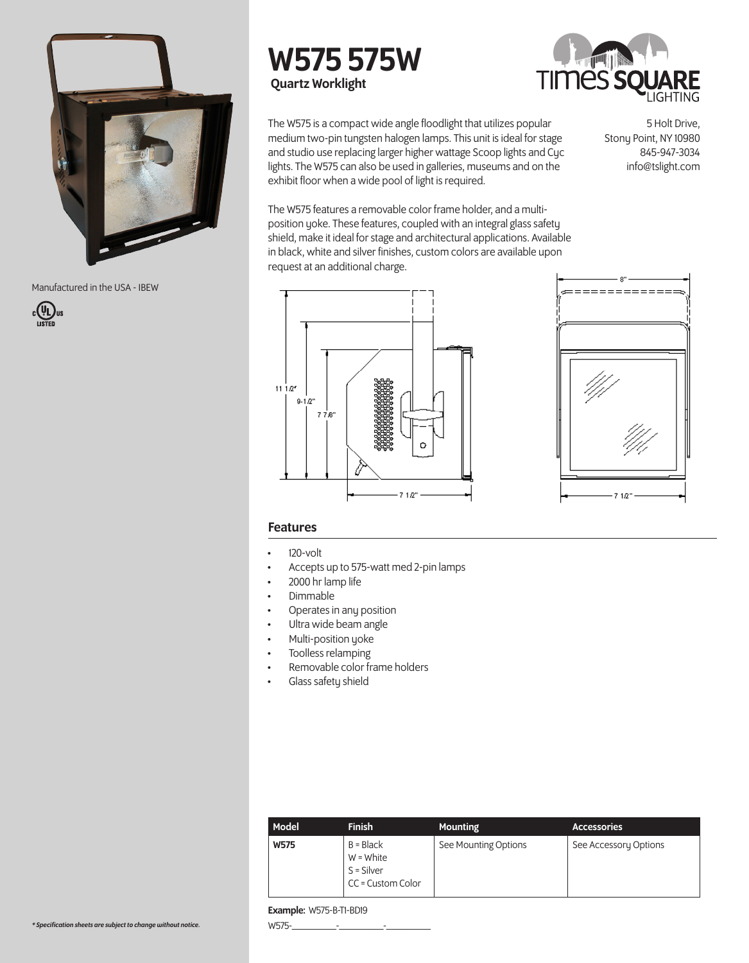

Manufactured in the USA - IBEW



# W575 575W Quartz Worklight



The W575 is a compact wide angle floodlight that utilizes popular medium two-pin tungsten halogen lamps. This unit is ideal for stage and studio use replacing larger higher wattage Scoop lights and Cyc lights. The W575 can also be used in galleries, museums and on the exhibit floor when a wide pool of light is required.

5 Holt Drive, Stony Point, NY 10980 845-947-3034 info@tslight.com

The W575 features a removable color frame holder, and a multiposition yoke. These features, coupled with an integral glass safety shield, make it ideal for stage and architectural applications. Available in black, white and silver finishes, custom colors are available upon request at an additional charge.





# Features

- 120-volt
- Accepts up to 575-watt med 2-pin lamps
- 2000 hr lamp life
- Dimmable
- Operates in any position
- Ultra wide beam angle
- Multi-position yoke
- Toolless relamping
- Removable color frame holders
- Glass safety shield

| Model | <b>Finish</b>                                                   | <b>Mounting</b>      | <b>Accessories</b>    |
|-------|-----------------------------------------------------------------|----------------------|-----------------------|
| W575  | $B = Black$<br>$W = White$<br>$S = Silver$<br>CC = Custom Color | See Mounting Options | See Accessory Options |

#### Example: W575-B-T1-BD19

W575-\_\_\_\_\_\_\_\_\_-\_\_\_\_\_\_\_\_\_-\_\_\_\_\_\_\_\_\_

*\* Specification sheets are subject to change without notice.*